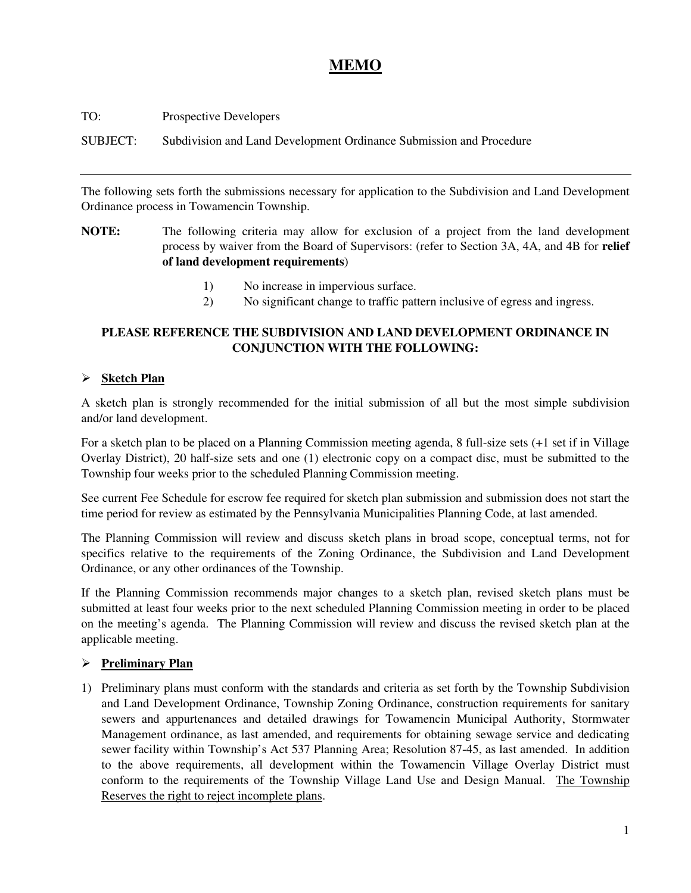## **MEMO**

| TO:      | <b>Prospective Developers</b>                                       |
|----------|---------------------------------------------------------------------|
| SUBJECT: | Subdivision and Land Development Ordinance Submission and Procedure |

The following sets forth the submissions necessary for application to the Subdivision and Land Development Ordinance process in Towamencin Township.

- **NOTE:** The following criteria may allow for exclusion of a project from the land development process by waiver from the Board of Supervisors: (refer to Section 3A, 4A, and 4B for **relief of land development requirements**)
	- 1) No increase in impervious surface.
	- 2) No significant change to traffic pattern inclusive of egress and ingress.

## **PLEASE REFERENCE THE SUBDIVISION AND LAND DEVELOPMENT ORDINANCE IN CONJUNCTION WITH THE FOLLOWING:**

## **Sketch Plan**

A sketch plan is strongly recommended for the initial submission of all but the most simple subdivision and/or land development.

For a sketch plan to be placed on a Planning Commission meeting agenda, 8 full-size sets (+1 set if in Village Overlay District), 20 half-size sets and one (1) electronic copy on a compact disc, must be submitted to the Township four weeks prior to the scheduled Planning Commission meeting.

See current Fee Schedule for escrow fee required for sketch plan submission and submission does not start the time period for review as estimated by the Pennsylvania Municipalities Planning Code, at last amended.

The Planning Commission will review and discuss sketch plans in broad scope, conceptual terms, not for specifics relative to the requirements of the Zoning Ordinance, the Subdivision and Land Development Ordinance, or any other ordinances of the Township.

If the Planning Commission recommends major changes to a sketch plan, revised sketch plans must be submitted at least four weeks prior to the next scheduled Planning Commission meeting in order to be placed on the meeting's agenda. The Planning Commission will review and discuss the revised sketch plan at the applicable meeting.

## **Preliminary Plan**

1) Preliminary plans must conform with the standards and criteria as set forth by the Township Subdivision and Land Development Ordinance, Township Zoning Ordinance, construction requirements for sanitary sewers and appurtenances and detailed drawings for Towamencin Municipal Authority, Stormwater Management ordinance, as last amended, and requirements for obtaining sewage service and dedicating sewer facility within Township's Act 537 Planning Area; Resolution 87-45, as last amended. In addition to the above requirements, all development within the Towamencin Village Overlay District must conform to the requirements of the Township Village Land Use and Design Manual. The Township Reserves the right to reject incomplete plans.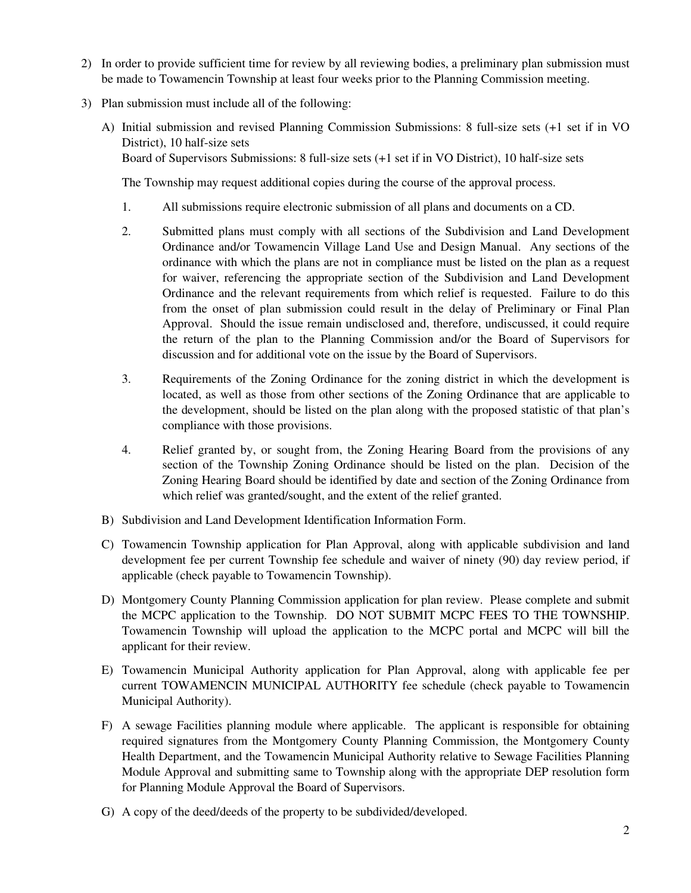- 2) In order to provide sufficient time for review by all reviewing bodies, a preliminary plan submission must be made to Towamencin Township at least four weeks prior to the Planning Commission meeting.
- 3) Plan submission must include all of the following:
	- A) Initial submission and revised Planning Commission Submissions: 8 full-size sets (+1 set if in VO District), 10 half-size sets Board of Supervisors Submissions: 8 full-size sets (+1 set if in VO District), 10 half-size sets

The Township may request additional copies during the course of the approval process.

- 1. All submissions require electronic submission of all plans and documents on a CD.
- 2. Submitted plans must comply with all sections of the Subdivision and Land Development Ordinance and/or Towamencin Village Land Use and Design Manual. Any sections of the ordinance with which the plans are not in compliance must be listed on the plan as a request for waiver, referencing the appropriate section of the Subdivision and Land Development Ordinance and the relevant requirements from which relief is requested. Failure to do this from the onset of plan submission could result in the delay of Preliminary or Final Plan Approval. Should the issue remain undisclosed and, therefore, undiscussed, it could require the return of the plan to the Planning Commission and/or the Board of Supervisors for discussion and for additional vote on the issue by the Board of Supervisors.
- 3. Requirements of the Zoning Ordinance for the zoning district in which the development is located, as well as those from other sections of the Zoning Ordinance that are applicable to the development, should be listed on the plan along with the proposed statistic of that plan's compliance with those provisions.
- 4. Relief granted by, or sought from, the Zoning Hearing Board from the provisions of any section of the Township Zoning Ordinance should be listed on the plan. Decision of the Zoning Hearing Board should be identified by date and section of the Zoning Ordinance from which relief was granted/sought, and the extent of the relief granted.
- B) Subdivision and Land Development Identification Information Form.
- C) Towamencin Township application for Plan Approval, along with applicable subdivision and land development fee per current Township fee schedule and waiver of ninety (90) day review period, if applicable (check payable to Towamencin Township).
- D) Montgomery County Planning Commission application for plan review. Please complete and submit the MCPC application to the Township. DO NOT SUBMIT MCPC FEES TO THE TOWNSHIP. Towamencin Township will upload the application to the MCPC portal and MCPC will bill the applicant for their review.
- E) Towamencin Municipal Authority application for Plan Approval, along with applicable fee per current TOWAMENCIN MUNICIPAL AUTHORITY fee schedule (check payable to Towamencin Municipal Authority).
- F) A sewage Facilities planning module where applicable. The applicant is responsible for obtaining required signatures from the Montgomery County Planning Commission, the Montgomery County Health Department, and the Towamencin Municipal Authority relative to Sewage Facilities Planning Module Approval and submitting same to Township along with the appropriate DEP resolution form for Planning Module Approval the Board of Supervisors.
- G) A copy of the deed/deeds of the property to be subdivided/developed.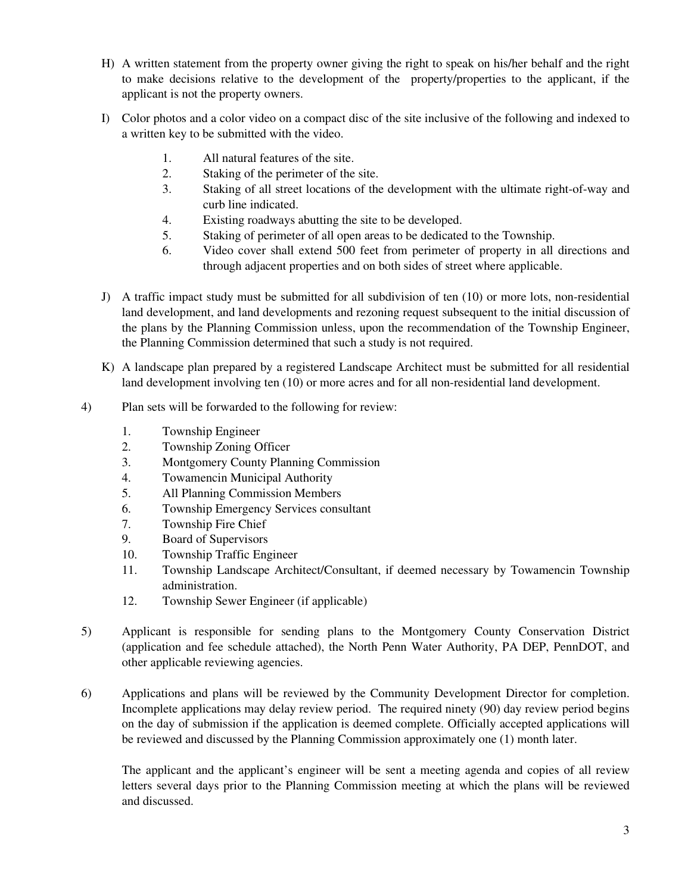- H) A written statement from the property owner giving the right to speak on his/her behalf and the right to make decisions relative to the development of the property/properties to the applicant, if the applicant is not the property owners.
- I) Color photos and a color video on a compact disc of the site inclusive of the following and indexed to a written key to be submitted with the video.
	- 1. All natural features of the site.
	- 2. Staking of the perimeter of the site.
	- 3. Staking of all street locations of the development with the ultimate right-of-way and curb line indicated.
	- 4. Existing roadways abutting the site to be developed.
	- 5. Staking of perimeter of all open areas to be dedicated to the Township.
	- 6. Video cover shall extend 500 feet from perimeter of property in all directions and through adjacent properties and on both sides of street where applicable.
- J) A traffic impact study must be submitted for all subdivision of ten (10) or more lots, non-residential land development, and land developments and rezoning request subsequent to the initial discussion of the plans by the Planning Commission unless, upon the recommendation of the Township Engineer, the Planning Commission determined that such a study is not required.
- K) A landscape plan prepared by a registered Landscape Architect must be submitted for all residential land development involving ten (10) or more acres and for all non-residential land development.
- 4) Plan sets will be forwarded to the following for review:
	- 1. Township Engineer
	- 2. Township Zoning Officer
	- 3. Montgomery County Planning Commission
	- 4. Towamencin Municipal Authority
	- 5. All Planning Commission Members
	- 6. Township Emergency Services consultant
	- 7. Township Fire Chief
	- 9. Board of Supervisors
	- 10. Township Traffic Engineer
	- 11. Township Landscape Architect/Consultant, if deemed necessary by Towamencin Township administration.
	- 12. Township Sewer Engineer (if applicable)
- 5) Applicant is responsible for sending plans to the Montgomery County Conservation District (application and fee schedule attached), the North Penn Water Authority, PA DEP, PennDOT, and other applicable reviewing agencies.
- 6) Applications and plans will be reviewed by the Community Development Director for completion. Incomplete applications may delay review period. The required ninety (90) day review period begins on the day of submission if the application is deemed complete. Officially accepted applications will be reviewed and discussed by the Planning Commission approximately one (1) month later.

 The applicant and the applicant's engineer will be sent a meeting agenda and copies of all review letters several days prior to the Planning Commission meeting at which the plans will be reviewed and discussed.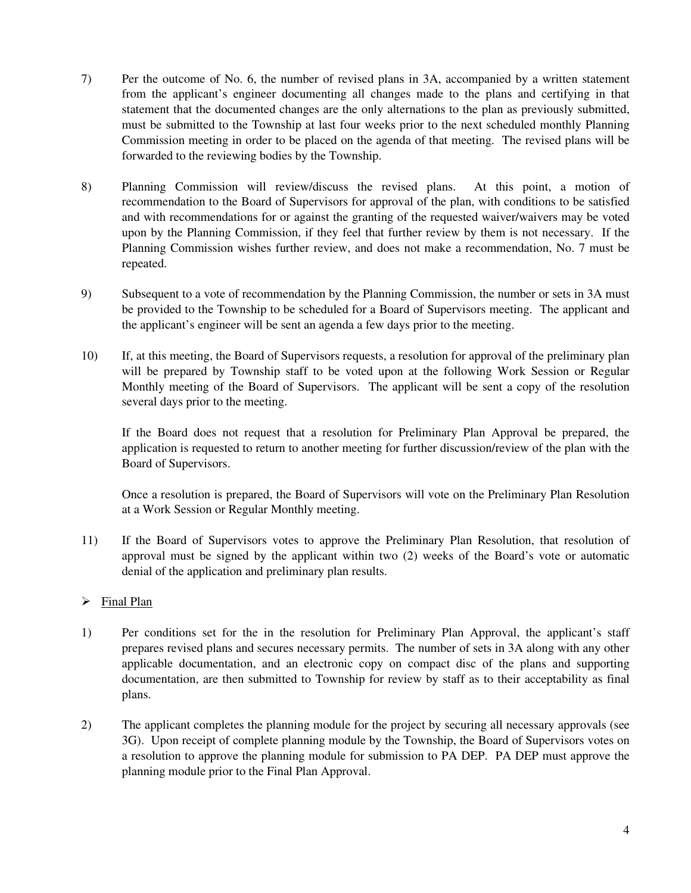- 7) Per the outcome of No. 6, the number of revised plans in 3A, accompanied by a written statement from the applicant's engineer documenting all changes made to the plans and certifying in that statement that the documented changes are the only alternations to the plan as previously submitted, must be submitted to the Township at last four weeks prior to the next scheduled monthly Planning Commission meeting in order to be placed on the agenda of that meeting. The revised plans will be forwarded to the reviewing bodies by the Township.
- 8) Planning Commission will review/discuss the revised plans. At this point, a motion of recommendation to the Board of Supervisors for approval of the plan, with conditions to be satisfied and with recommendations for or against the granting of the requested waiver/waivers may be voted upon by the Planning Commission, if they feel that further review by them is not necessary. If the Planning Commission wishes further review, and does not make a recommendation, No. 7 must be repeated.
- 9) Subsequent to a vote of recommendation by the Planning Commission, the number or sets in 3A must be provided to the Township to be scheduled for a Board of Supervisors meeting. The applicant and the applicant's engineer will be sent an agenda a few days prior to the meeting.
- 10) If, at this meeting, the Board of Supervisors requests, a resolution for approval of the preliminary plan will be prepared by Township staff to be voted upon at the following Work Session or Regular Monthly meeting of the Board of Supervisors. The applicant will be sent a copy of the resolution several days prior to the meeting.

 If the Board does not request that a resolution for Preliminary Plan Approval be prepared, the application is requested to return to another meeting for further discussion/review of the plan with the Board of Supervisors.

 Once a resolution is prepared, the Board of Supervisors will vote on the Preliminary Plan Resolution at a Work Session or Regular Monthly meeting.

11) If the Board of Supervisors votes to approve the Preliminary Plan Resolution, that resolution of approval must be signed by the applicant within two (2) weeks of the Board's vote or automatic denial of the application and preliminary plan results.

## > Final Plan

- 1) Per conditions set for the in the resolution for Preliminary Plan Approval, the applicant's staff prepares revised plans and secures necessary permits. The number of sets in 3A along with any other applicable documentation, and an electronic copy on compact disc of the plans and supporting documentation, are then submitted to Township for review by staff as to their acceptability as final plans.
- 2) The applicant completes the planning module for the project by securing all necessary approvals (see 3G). Upon receipt of complete planning module by the Township, the Board of Supervisors votes on a resolution to approve the planning module for submission to PA DEP. PA DEP must approve the planning module prior to the Final Plan Approval.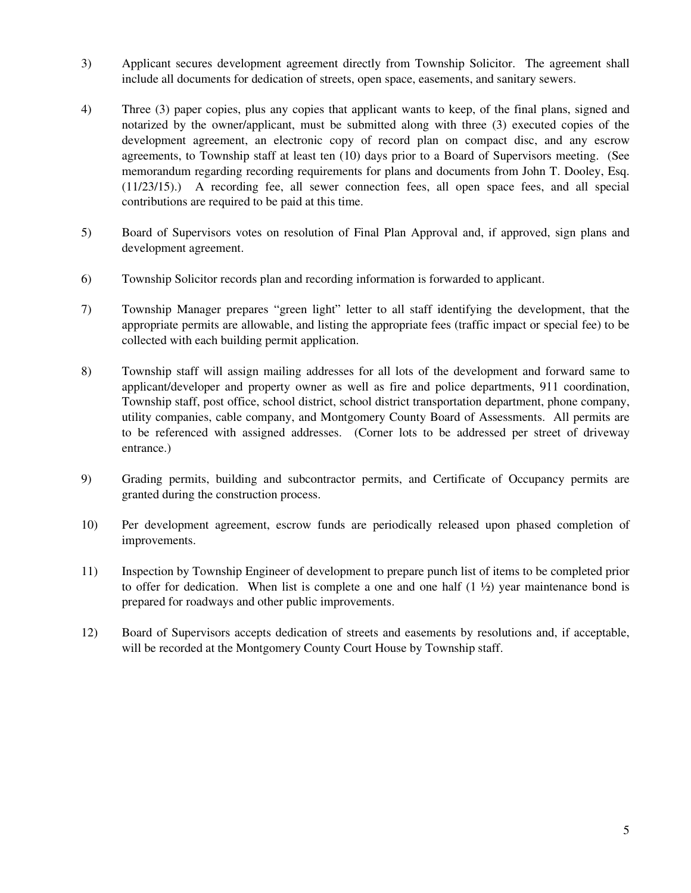- 3) Applicant secures development agreement directly from Township Solicitor. The agreement shall include all documents for dedication of streets, open space, easements, and sanitary sewers.
- 4) Three (3) paper copies, plus any copies that applicant wants to keep, of the final plans, signed and notarized by the owner/applicant, must be submitted along with three (3) executed copies of the development agreement, an electronic copy of record plan on compact disc, and any escrow agreements, to Township staff at least ten (10) days prior to a Board of Supervisors meeting. (See memorandum regarding recording requirements for plans and documents from John T. Dooley, Esq. (11/23/15).) A recording fee, all sewer connection fees, all open space fees, and all special contributions are required to be paid at this time.
- 5) Board of Supervisors votes on resolution of Final Plan Approval and, if approved, sign plans and development agreement.
- 6) Township Solicitor records plan and recording information is forwarded to applicant.
- 7) Township Manager prepares "green light" letter to all staff identifying the development, that the appropriate permits are allowable, and listing the appropriate fees (traffic impact or special fee) to be collected with each building permit application.
- 8) Township staff will assign mailing addresses for all lots of the development and forward same to applicant/developer and property owner as well as fire and police departments, 911 coordination, Township staff, post office, school district, school district transportation department, phone company, utility companies, cable company, and Montgomery County Board of Assessments. All permits are to be referenced with assigned addresses. (Corner lots to be addressed per street of driveway entrance.)
- 9) Grading permits, building and subcontractor permits, and Certificate of Occupancy permits are granted during the construction process.
- 10) Per development agreement, escrow funds are periodically released upon phased completion of improvements.
- 11) Inspection by Township Engineer of development to prepare punch list of items to be completed prior to offer for dedication. When list is complete a one and one half  $(1 \frac{1}{2})$  year maintenance bond is prepared for roadways and other public improvements.
- 12) Board of Supervisors accepts dedication of streets and easements by resolutions and, if acceptable, will be recorded at the Montgomery County Court House by Township staff.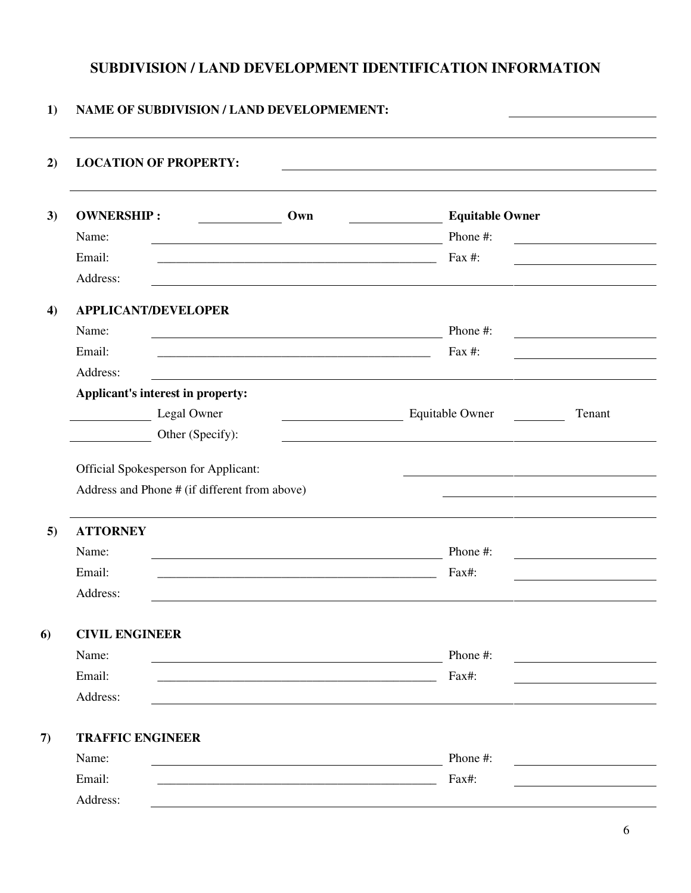## **SUBDIVISION / LAND DEVELOPMENT IDENTIFICATION INFORMATION**

## **1) NAME OF SUBDIVISION / LAND DEVELOPMEMENT:**

| <b>LOCATION OF PROPERTY:</b>                                                          |                                                                                                                                                                                                                                                                                                                                                                                                                                  |                        |        |
|---------------------------------------------------------------------------------------|----------------------------------------------------------------------------------------------------------------------------------------------------------------------------------------------------------------------------------------------------------------------------------------------------------------------------------------------------------------------------------------------------------------------------------|------------------------|--------|
| <b>OWNERSHIP:</b>                                                                     | Own                                                                                                                                                                                                                                                                                                                                                                                                                              | <b>Equitable Owner</b> |        |
| Name:                                                                                 |                                                                                                                                                                                                                                                                                                                                                                                                                                  | Phone #:               |        |
| Email:                                                                                |                                                                                                                                                                                                                                                                                                                                                                                                                                  | Fax $#$ :              |        |
| Address:                                                                              |                                                                                                                                                                                                                                                                                                                                                                                                                                  |                        |        |
| <b>APPLICANT/DEVELOPER</b>                                                            |                                                                                                                                                                                                                                                                                                                                                                                                                                  |                        |        |
| Name:                                                                                 | <u> 1989 - Johann Barn, fransk politik fotograf (d. 1989)</u>                                                                                                                                                                                                                                                                                                                                                                    | Phone #:               |        |
| Email:                                                                                |                                                                                                                                                                                                                                                                                                                                                                                                                                  | Fax #:                 |        |
| Address:                                                                              | <u> 1989 - Johann Stein, fransk politik (d. 1989)</u>                                                                                                                                                                                                                                                                                                                                                                            |                        |        |
| Applicant's interest in property:                                                     |                                                                                                                                                                                                                                                                                                                                                                                                                                  |                        |        |
| Legal Owner<br>$\overline{\phantom{a}}$                                               | $\overline{\phantom{a}}$ . The contract of $\overline{\phantom{a}}$ , $\overline{\phantom{a}}$ , $\overline{\phantom{a}}$ , $\overline{\phantom{a}}$ , $\overline{\phantom{a}}$ , $\overline{\phantom{a}}$ , $\overline{\phantom{a}}$ , $\overline{\phantom{a}}$ , $\overline{\phantom{a}}$ , $\overline{\phantom{a}}$ , $\overline{\phantom{a}}$ , $\overline{\phantom{a}}$ , $\overline{\phantom{a}}$ , $\overline{\phantom{a$ | Equitable Owner        | Tenant |
| Other (Specify):                                                                      |                                                                                                                                                                                                                                                                                                                                                                                                                                  |                        |        |
| Official Spokesperson for Applicant:<br>Address and Phone # (if different from above) |                                                                                                                                                                                                                                                                                                                                                                                                                                  |                        |        |
| <b>ATTORNEY</b>                                                                       |                                                                                                                                                                                                                                                                                                                                                                                                                                  |                        |        |
| Name:                                                                                 |                                                                                                                                                                                                                                                                                                                                                                                                                                  | Phone #:               |        |
| Email:                                                                                |                                                                                                                                                                                                                                                                                                                                                                                                                                  | Fax#:                  |        |
| Address:                                                                              |                                                                                                                                                                                                                                                                                                                                                                                                                                  |                        |        |
| <b>CIVIL ENGINEER</b>                                                                 |                                                                                                                                                                                                                                                                                                                                                                                                                                  |                        |        |
| Name:                                                                                 |                                                                                                                                                                                                                                                                                                                                                                                                                                  | Phone #:               |        |
| Email:                                                                                |                                                                                                                                                                                                                                                                                                                                                                                                                                  | Fax#:                  |        |
| Address:                                                                              |                                                                                                                                                                                                                                                                                                                                                                                                                                  |                        |        |
| <b>TRAFFIC ENGINEER</b>                                                               |                                                                                                                                                                                                                                                                                                                                                                                                                                  |                        |        |
|                                                                                       |                                                                                                                                                                                                                                                                                                                                                                                                                                  | Phone #:               |        |
| Name:<br>Email:                                                                       | <u> 1980 - Johann Stoff, fransk politik (d. 1980)</u>                                                                                                                                                                                                                                                                                                                                                                            | Fax#:                  |        |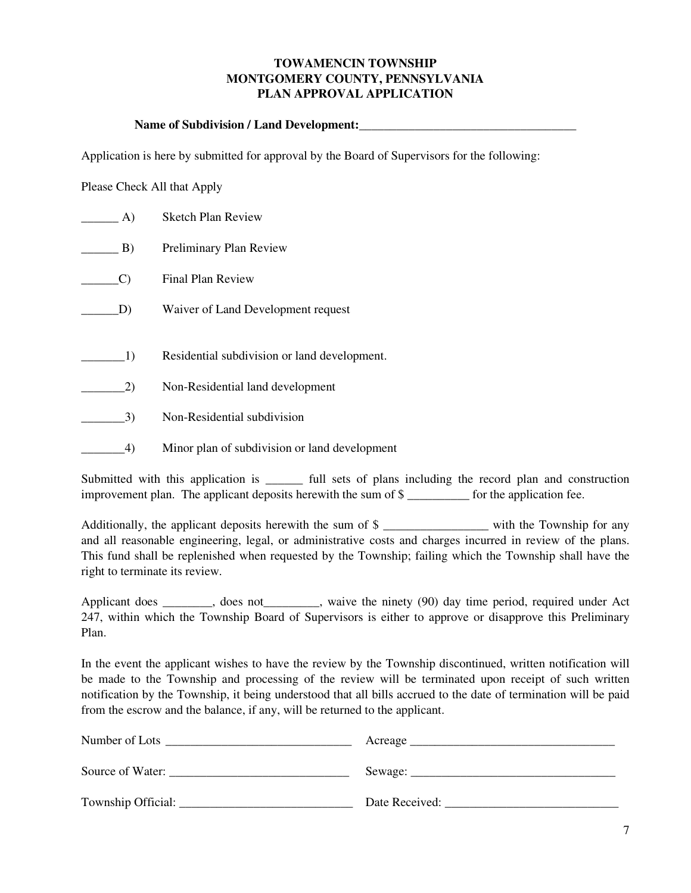## **TOWAMENCIN TOWNSHIP MONTGOMERY COUNTY, PENNSYLVANIA PLAN APPROVAL APPLICATION**

## Name of Subdivision / Land Development:

Application is here by submitted for approval by the Board of Supervisors for the following:

Please Check All that Apply

| A) | <b>Sketch Plan Review</b>                     |
|----|-----------------------------------------------|
| B) | Preliminary Plan Review                       |
| C) | <b>Final Plan Review</b>                      |
| D) | Waiver of Land Development request            |
|    |                                               |
| 1) | Residential subdivision or land development.  |
| 2) | Non-Residential land development              |
| 3) | Non-Residential subdivision                   |
| 4) | Minor plan of subdivision or land development |

Submitted with this application is \_\_\_\_\_\_ full sets of plans including the record plan and construction improvement plan. The applicant deposits herewith the sum of \$ \_\_\_\_\_\_\_\_\_\_ for the application fee.

Additionally, the applicant deposits herewith the sum of \$ and all reasonable engineering, legal, or administrative costs and charges incurred in review of the plans. This fund shall be replenished when requested by the Township; failing which the Township shall have the right to terminate its review.

Applicant does \_\_\_\_\_\_, does not\_\_\_\_\_\_, waive the ninety (90) day time period, required under Act 247, within which the Township Board of Supervisors is either to approve or disapprove this Preliminary Plan.

In the event the applicant wishes to have the review by the Township discontinued, written notification will be made to the Township and processing of the review will be terminated upon receipt of such written notification by the Township, it being understood that all bills accrued to the date of termination will be paid from the escrow and the balance, if any, will be returned to the applicant.

| Number of Lots       | Acreage          |
|----------------------|------------------|
| Source of Water:     | Sewage: $\equiv$ |
| Township Official: _ | Date Received:   |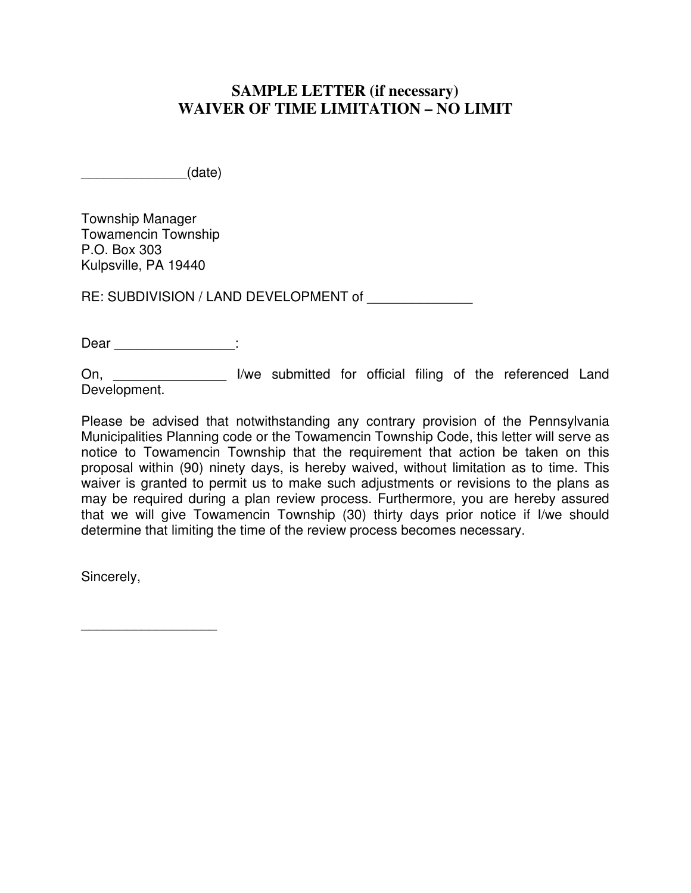## **SAMPLE LETTER (if necessary) WAIVER OF TIME LIMITATION – NO LIMIT**

 $_0$  (date)

Township Manager Towamencin Township P.O. Box 303 Kulpsville, PA 19440

RE: SUBDIVISION / LAND DEVELOPMENT of

Dear \_\_\_\_\_\_\_\_\_\_\_\_\_\_\_\_:

On, \_\_\_\_\_\_\_\_\_\_\_\_\_\_\_\_\_\_\_ I/we submitted for official filing of the referenced Land Development.

Please be advised that notwithstanding any contrary provision of the Pennsylvania Municipalities Planning code or the Towamencin Township Code, this letter will serve as notice to Towamencin Township that the requirement that action be taken on this proposal within (90) ninety days, is hereby waived, without limitation as to time. This waiver is granted to permit us to make such adjustments or revisions to the plans as may be required during a plan review process. Furthermore, you are hereby assured that we will give Towamencin Township (30) thirty days prior notice if I/we should determine that limiting the time of the review process becomes necessary.

Sincerely,

\_\_\_\_\_\_\_\_\_\_\_\_\_\_\_\_\_\_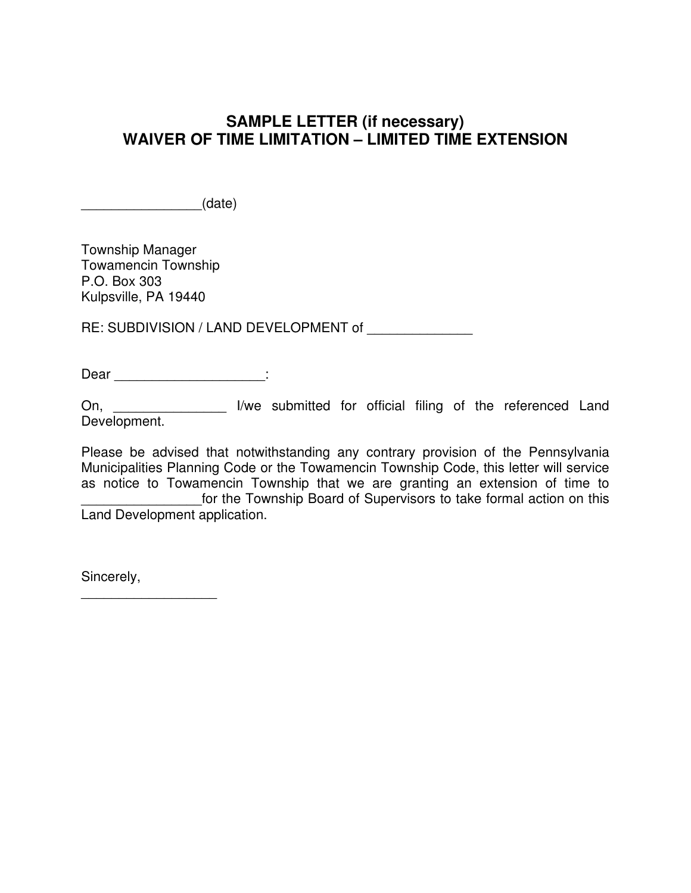## **SAMPLE LETTER (if necessary) WAIVER OF TIME LIMITATION – LIMITED TIME EXTENSION**

 $_1$  (date)

Township Manager Towamencin Township P.O. Box 303 Kulpsville, PA 19440

RE: SUBDIVISION / LAND DEVELOPMENT of

Dear \_\_\_\_\_\_\_\_\_\_\_\_\_\_\_\_\_\_\_\_:

On, \_\_\_\_\_\_\_\_\_\_\_\_\_\_\_ I/we submitted for official filing of the referenced Land Development.

Please be advised that notwithstanding any contrary provision of the Pennsylvania Municipalities Planning Code or the Towamencin Township Code, this letter will service as notice to Towamencin Township that we are granting an extension of time to for the Township Board of Supervisors to take formal action on this Land Development application.

Sincerely,

\_\_\_\_\_\_\_\_\_\_\_\_\_\_\_\_\_\_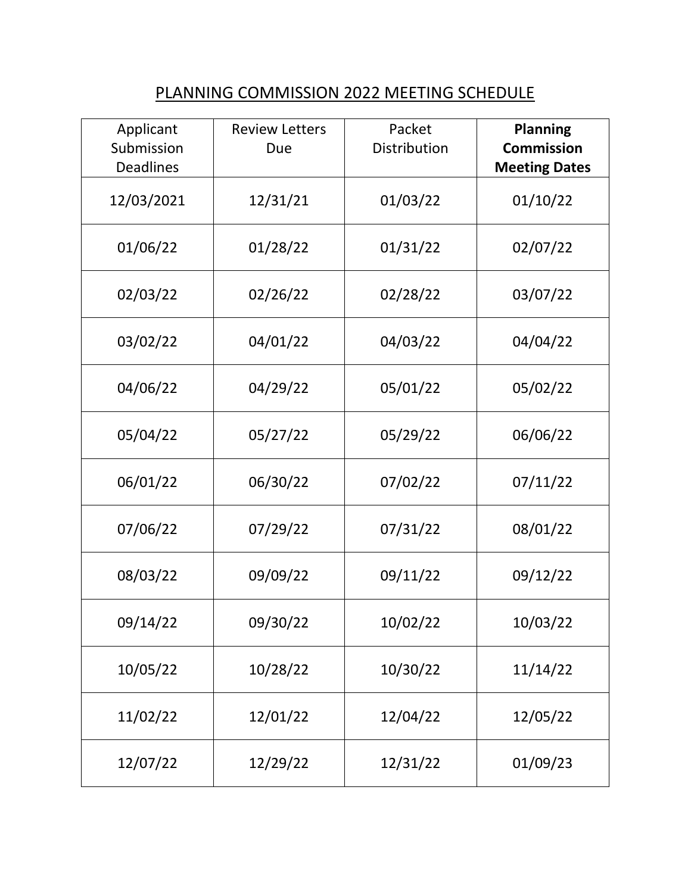## PLANNING COMMISSION 2022 MEETING SCHEDULE

| Applicant<br>Submission<br><b>Deadlines</b> | <b>Review Letters</b><br>Due | Packet<br>Distribution | <b>Planning</b><br><b>Commission</b><br><b>Meeting Dates</b> |
|---------------------------------------------|------------------------------|------------------------|--------------------------------------------------------------|
| 12/03/2021                                  | 12/31/21                     | 01/03/22               | 01/10/22                                                     |
| 01/06/22                                    | 01/28/22                     | 01/31/22               | 02/07/22                                                     |
| 02/03/22                                    | 02/26/22                     | 02/28/22               | 03/07/22                                                     |
| 03/02/22                                    | 04/01/22                     | 04/03/22               | 04/04/22                                                     |
| 04/06/22                                    | 04/29/22                     | 05/01/22               | 05/02/22                                                     |
| 05/04/22                                    | 05/27/22                     | 05/29/22               | 06/06/22                                                     |
| 06/01/22                                    | 06/30/22                     | 07/02/22               | 07/11/22                                                     |
| 07/06/22                                    | 07/29/22                     | 07/31/22               | 08/01/22                                                     |
| 08/03/22                                    | 09/09/22                     | 09/11/22               | 09/12/22                                                     |
| 09/14/22                                    | 09/30/22                     | 10/02/22               | 10/03/22                                                     |
| 10/05/22                                    | 10/28/22                     | 10/30/22               | 11/14/22                                                     |
| 11/02/22                                    | 12/01/22                     | 12/04/22               | 12/05/22                                                     |
| 12/07/22                                    | 12/29/22                     | 12/31/22               | 01/09/23                                                     |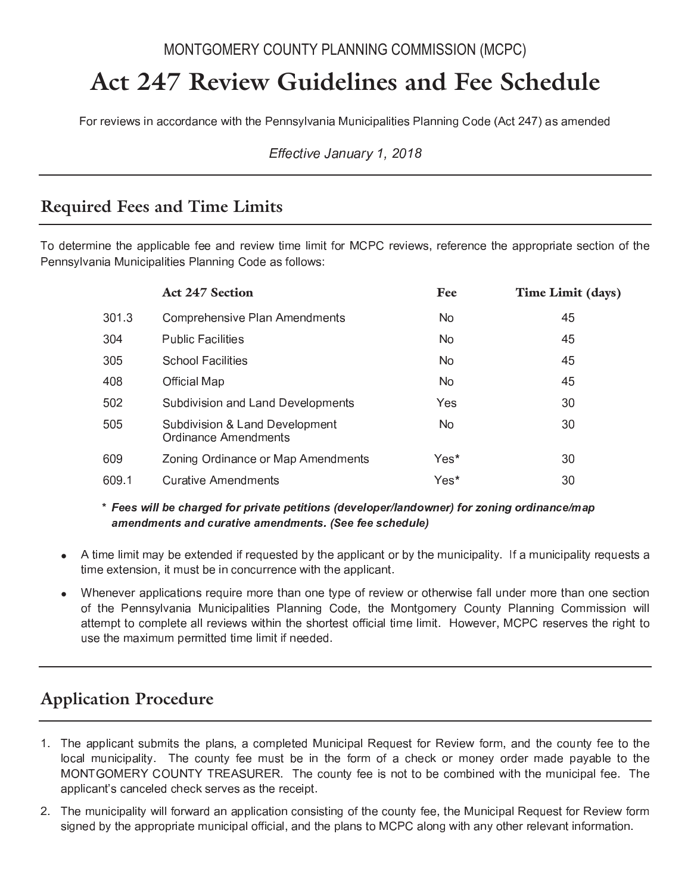## MONTGOMERY COUNTY PLANNING COMMISSION (MCPC)

# Act 247 Review Guidelines and Fee Schedule

For reviews in accordance with the Pennsylvania Municipalities Planning Code (Act 247) as amended

Effective January 1, 2018

## **Required Fees and Time Limits**

To determine the applicable fee and review time limit for MCPC reviews, reference the appropriate section of the Pennsylvania Municipalities Planning Code as follows:

|       | <b>Act 247 Section</b>                                        | Fee  | Time Limit (days) |
|-------|---------------------------------------------------------------|------|-------------------|
| 301.3 | <b>Comprehensive Plan Amendments</b>                          | No.  | 45                |
| 304   | <b>Public Facilities</b>                                      | No.  | 45                |
| 305   | <b>School Facilities</b>                                      | No.  | 45                |
| 408   | <b>Official Map</b>                                           | No.  | 45                |
| 502   | Subdivision and Land Developments                             | Yes  | 30                |
| 505   | Subdivision & Land Development<br><b>Ordinance Amendments</b> | No.  | 30                |
| 609   | Zoning Ordinance or Map Amendments                            | Yes* | 30                |
| 609.1 | <b>Curative Amendments</b>                                    | Yes* | 30                |

\* Fees will be charged for private petitions (developer/landowner) for zoning ordinance/map amendments and curative amendments. (See fee schedule)

- A time limit may be extended if requested by the applicant or by the municipality. If a municipality requests a time extension, it must be in concurrence with the applicant.
- Whenever applications require more than one type of review or otherwise fall under more than one section of the Pennsylvania Municipalities Planning Code, the Montgomery County Planning Commission will attempt to complete all reviews within the shortest official time limit. However, MCPC reserves the right to use the maximum permitted time limit if needed.

## **Application Procedure**

- 1. The applicant submits the plans, a completed Municipal Request for Review form, and the county fee to the local municipality. The county fee must be in the form of a check or money order made payable to the MONTGOMERY COUNTY TREASURER. The county fee is not to be combined with the municipal fee. The applicant's canceled check serves as the receipt.
- 2. The municipality will forward an application consisting of the county fee, the Municipal Request for Review form signed by the appropriate municipal official, and the plans to MCPC along with any other relevant information.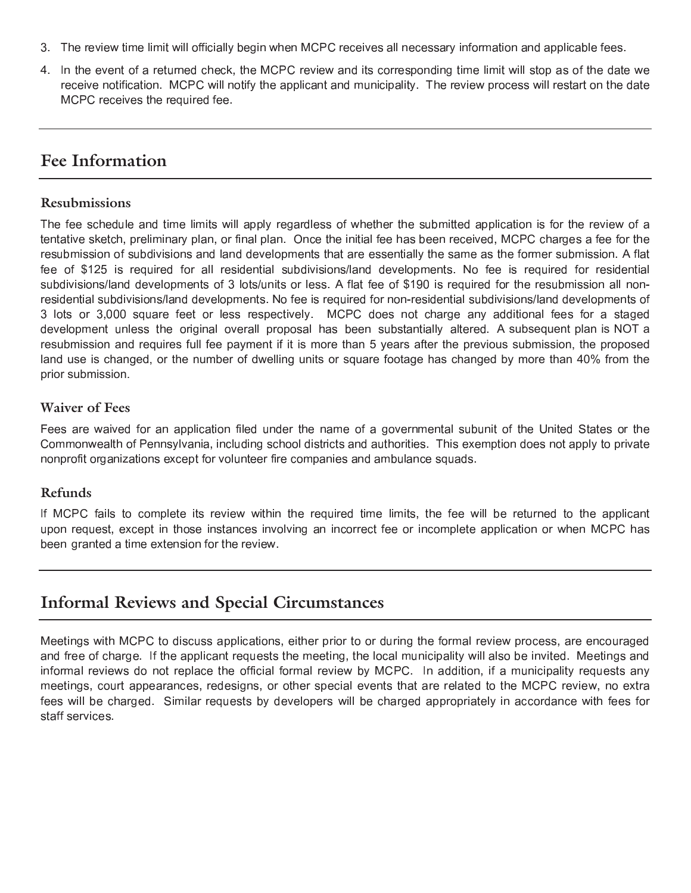- $\bullet$  . In this case of the contract of the contract of the contract of the contract of the contract of the contract of the contract of the contract of the contract of the contract of the contract of the contract of the co
- <sup>6</sup> <sup>b</sup> <sup>0</sup> <sup>f</sup> <sup>1</sup>   -    <sup>0</sup> -  0  <sup>6</sup>  0    <sup>6</sup> . - - -  -    -  - <sup>a</sup> - <sup>0</sup> <sup>6</sup>

## **Fee Information**

## **Resubmissions**

. The contract of the contract of the contract of the contract of the contract of the contract of the contract of the contract of the contract of the contract of the contract of the contract of the contract of the contrac <sup>f</sup> <sup>1</sup> - - <sup>1</sup> - <sup>0</sup> <sup>6</sup> ;   <sup>0</sup> / - <sup>1</sup> - <sup>0</sup> <sup>0</sup> -   $\mathcal{C} = \{ \mathcal{C}^{\text{max}} \}$  . The contract of the contract of the contract of the contract of the contract of the contract of the contract of the contract of the contract of the contract of the contract of the contract of t . In the second contract the contract of the second contract of the second contract of the second contract of the second contract of the second contract of the second contract of the second contract of the second contract  $\alpha$  , and a set of the set of the set of the set of the set of the set of the set of the set of the set of the set of the set of the set of the set of the set of the set of the set of the set of the set of the set of the  $-$  10  $-$  10  $-$  10  $-$  10  $-$  10  $-$  10  $-$  10  $-$  10  $-$  10  $-$  10  $-$  10  $-$  10  $-$  10  $-$  10  $-$  10  $-$  10  $-$  10  $-$  10  $-$  10  $-$  10  $-$  10  $-$  10  $-$  10  $-$  10  $-$  10  $-$  10  $-$  10  $-$  10  $-$  10  $-$  10  $-$  10  $\bullet$  . The second contract of the second contract of the second contract of the second contract of the second contract of the second contract of the second contract of the second contract of the second contract of the sec development unless the original overall proposal has been substantially altered. A subsequent plan is NOT a resubmission and requires full fee payment if it is more than 5 years after the previous submission, the proposed land use is changed, or the number of dwelling units or square footage has changed by more than 40% from the prior submission.

## **Waiver of Fees**

— in the contract of the contract of the contract of the contract of the contract of the contract of the contract of the contract of the contract of the contract of the contract of the contract of the contract of the cont  $\blacksquare$  . The contract of the contract of the contract of the contract of the contract of the contract of the contract of the contract of the contract of the contract of the contract of the contract of the contract of the . The contract of the contract of the contract of the contract of the contract of the contract of the contract of the contract of the contract of the contract of the contract of the contract of the contract of the contrac

## **Refunds**

to be a set of the set of the set of the set of the set of the set of the set of the set of the set of the set o  $\mathcal{L}=\{1,2,3,4,5,6,7,8,8\}$  . The contract of the contract of the contract of the contract of the contract of the contract of the contract of the contract of the contract of the contract of the contract of the contract  $\mathbf{r}$  , and the state of the state of the state of the state of the state of the state of the state of the state of the state of the state of the state of the state of the state of the state of the state of the state o

## **Informal Reviews and Special Circumstances**

 <sup>1</sup>  - - -  - -  <sup>0</sup> - - - <sup>1</sup> - - . The contract of the contract of the contract of the contract of the contract of the contract of the contract of the contract of the contract of the contract of the contract of the contract of the contract of the contrac <sup>0</sup> - -  -  <sup>0</sup> <sup>0</sup> <sup>0</sup> - - / <sup>6</sup> <sup>b</sup> <sup>1</sup> 0  - <sup>a</sup> is a constructed in the contract of the contract of the contract of the contract of the contract of the contract of the contract of the contract of the contract of the contract of the contract of the contract of the contr  $\bullet$  . The set of the set of the set of the set of the set of the set of the set of the set of the set of the set of the set of the set of the set of the set of the set of the set of the set of the set of the set of the s <sup>0</sup> <sup>0</sup> - <sup>6</sup>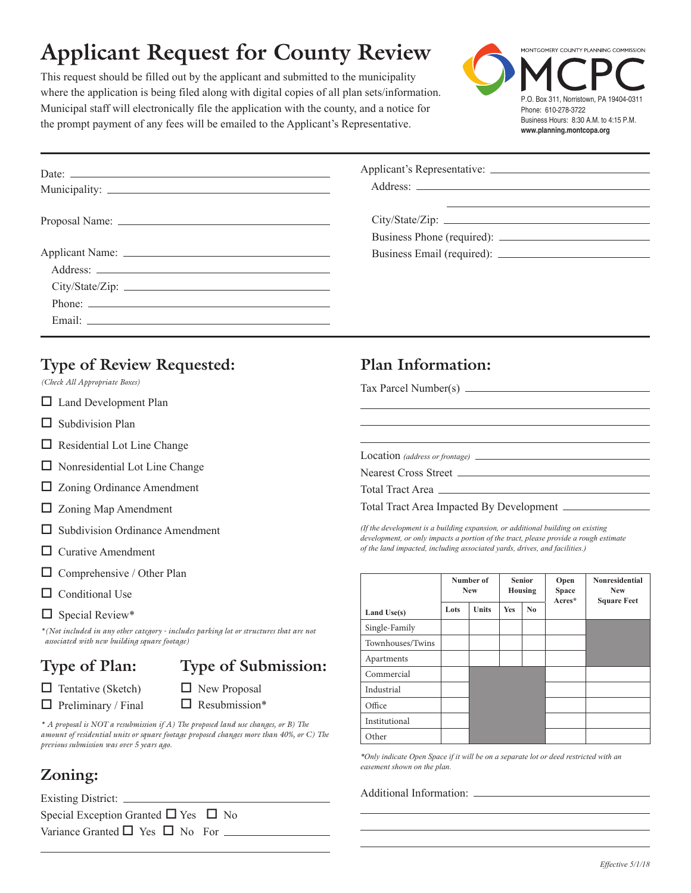# **Applicant Request for County Review**

This request should be filled out by the applicant and submitted to the municipality where the application is being filed along with digital copies of all plan sets/information. Municipal staff will electronically file the application with the county, and a notice for the prompt payment of any fees will be emailed to the Applicant's Representative.

 $\overline{O}$ 

 $\Omega$ 

 $\Box$ 



|                                            | Proposal Name:                                                                                                                                                                                                                                                                                                                                | <u> 1989 - Andrea Andrew Maria (h. 1989).</u>                                                                                                                                                                                                                                                                                                                                                      | $\frac{C}{\sqrt{C}}$ $\sqrt{State/Zip}$ :                                                                                                                                                                                                                                                                                                                    |                         |              |                                 |                |                      | <u> 1989 - Andrea Barbara, amerikan personal (h. 1989).</u> |
|--------------------------------------------|-----------------------------------------------------------------------------------------------------------------------------------------------------------------------------------------------------------------------------------------------------------------------------------------------------------------------------------------------|----------------------------------------------------------------------------------------------------------------------------------------------------------------------------------------------------------------------------------------------------------------------------------------------------------------------------------------------------------------------------------------------------|--------------------------------------------------------------------------------------------------------------------------------------------------------------------------------------------------------------------------------------------------------------------------------------------------------------------------------------------------------------|-------------------------|--------------|---------------------------------|----------------|----------------------|-------------------------------------------------------------|
|                                            |                                                                                                                                                                                                                                                                                                                                               | City/State/Zip:                                                                                                                                                                                                                                                                                                                                                                                    |                                                                                                                                                                                                                                                                                                                                                              |                         |              |                                 |                |                      |                                                             |
| $\Box$                                     | <b>Type of Review Requested:</b><br>(Check All Appropriate Boxes)<br>Land Development Plan<br>ப<br>Subdivision Plan<br>$\Box$ Residential Lot Line Change<br>$\Box$ Nonresidential Lot Line Change<br>$\Box$ Zoning Ordinance Amendment<br>$\Box$ Zoning Map Amendment<br>$\Box$ Subdivision Ordinance Amendment<br>$\Box$ Curative Amendment |                                                                                                                                                                                                                                                                                                                                                                                                    | Plan Information:<br>Tax Parcel Number( $\Omega$ $\Box$<br>Nearest Cross Street<br>Total Tract Area<br>(If the development is a building expansion, or additional building on existing<br>development, or only impacts a portion of the tract, please provide a rough estimate<br>of the land impacted, including associated yards, drives, and facilities.) | $\circ$                 |              | $\bigcirc$                      |                |                      |                                                             |
| $\Box$                                     | Comprehensive / Other Plan<br>ц<br>Conditional Use $\square$                                                                                                                                                                                                                                                                                  |                                                                                                                                                                                                                                                                                                                                                                                                    |                                                                                                                                                                                                                                                                                                                                                              | Number of<br><b>New</b> |              | <b>Senior</b><br><b>Housing</b> |                | Open<br><b>Space</b> | Nonresidential<br><b>New</b>                                |
| ⊟<br>$\Box$<br>ロ目目<br>$\Box$<br>$\bigcirc$ | $\Box$ Special Review <sup>*</sup> $\Box$<br>associated with new building square footage)<br>Type of Plan:<br>$\Box$ Tentative (Sketch $\bigcirc$<br>$\Box$ Preliminary / Fin<br>previous submission was over 5 years ago.<br>Zoning:<br>Existing District:<br>Special Exception Granted $\Box$ Yes $\Box$ No                                 | *(Not included in any other category - includes parking lot or structures that are not<br>Type of Submission:<br>$\Box$ New Proposal<br>$\Box$ Resubmission*<br>* A proposal is NOT a resubmidon if A) The proposed land use changes, or B) The<br>amount of residential units of square footage proposed changes more than $40\%$ , or C) The<br>Variance Granted $\Box$ Yes $\Box$ No For $\Box$ | Land Use(s)<br>Single-Family<br>Townhouses/Twins<br>$\label{ex:4} {\rm A} {\rm partments}$<br>Commercial<br>Industrial<br>Office<br>Institutional<br>Other<br>*Only indicate Open Space if it will be on a separate lot or deed restricted with an<br>easement shown on the plan.                                                                            | Lots                    | <b>Units</b> | Yes                             | N <sub>0</sub> | Acres*               | <b>Square Feet</b>                                          |
|                                            |                                                                                                                                                                                                                                                                                                                                               |                                                                                                                                                                                                                                                                                                                                                                                                    |                                                                                                                                                                                                                                                                                                                                                              |                         |              |                                 |                |                      | Effective 5/1/18                                            |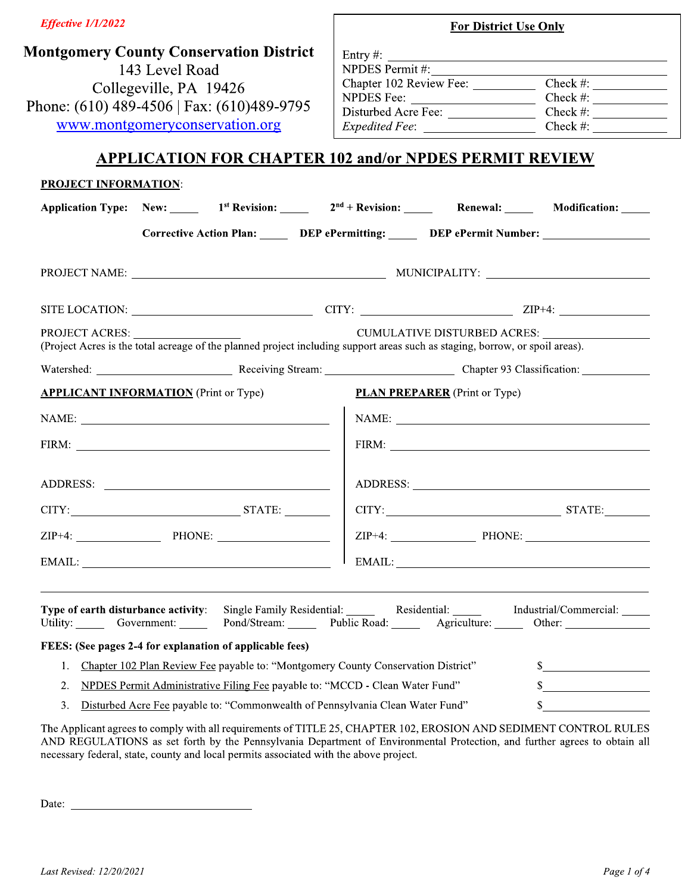| Effective 1/1/2022                                                                                                                                |                | <b>For District Use Only</b>         |                                                                                                                                                                                                                                                                                                                                                      |
|---------------------------------------------------------------------------------------------------------------------------------------------------|----------------|--------------------------------------|------------------------------------------------------------------------------------------------------------------------------------------------------------------------------------------------------------------------------------------------------------------------------------------------------------------------------------------------------|
| <b>Montgomery County Conservation District</b>                                                                                                    |                |                                      |                                                                                                                                                                                                                                                                                                                                                      |
| 143 Level Road                                                                                                                                    | NPDES Permit#: |                                      | Entry #: $\qquad \qquad$                                                                                                                                                                                                                                                                                                                             |
| Collegeville, PA 19426                                                                                                                            |                |                                      | Chapter 102 Review Fee: _______________ Check #: ________________________________                                                                                                                                                                                                                                                                    |
|                                                                                                                                                   |                |                                      |                                                                                                                                                                                                                                                                                                                                                      |
| Phone: (610) 489-4506   Fax: (610) 489-9795                                                                                                       |                |                                      |                                                                                                                                                                                                                                                                                                                                                      |
| www.montgomeryconservation.org                                                                                                                    |                |                                      | Expedited Fee: Check #:                                                                                                                                                                                                                                                                                                                              |
| <b>APPLICATION FOR CHAPTER 102 and/or NPDES PERMIT REVIEW</b>                                                                                     |                |                                      |                                                                                                                                                                                                                                                                                                                                                      |
| <b>PROJECT INFORMATION:</b>                                                                                                                       |                |                                      |                                                                                                                                                                                                                                                                                                                                                      |
| Application Type: New: 1 <sup>st</sup> Revision: 2 <sup>nd</sup> + Revision: Renewal: Modification: 1                                             |                |                                      |                                                                                                                                                                                                                                                                                                                                                      |
| Corrective Action Plan: DEP ePermitting: DEP ePermit Number: ___________________                                                                  |                |                                      |                                                                                                                                                                                                                                                                                                                                                      |
|                                                                                                                                                   |                |                                      |                                                                                                                                                                                                                                                                                                                                                      |
|                                                                                                                                                   |                |                                      |                                                                                                                                                                                                                                                                                                                                                      |
| PROJECT ACRES:<br>(Project Acres is the total acreage of the planned project including support areas such as staging, borrow, or spoil areas).    |                |                                      |                                                                                                                                                                                                                                                                                                                                                      |
|                                                                                                                                                   |                |                                      |                                                                                                                                                                                                                                                                                                                                                      |
| <b>APPLICANT INFORMATION</b> (Print or Type)                                                                                                      |                | <b>PLAN PREPARER</b> (Print or Type) |                                                                                                                                                                                                                                                                                                                                                      |
|                                                                                                                                                   |                |                                      |                                                                                                                                                                                                                                                                                                                                                      |
|                                                                                                                                                   |                |                                      |                                                                                                                                                                                                                                                                                                                                                      |
|                                                                                                                                                   |                |                                      |                                                                                                                                                                                                                                                                                                                                                      |
|                                                                                                                                                   |                |                                      | $\begin{array}{c c c c} \hline \text{CITY:} & \text{STATE:} \end{array}$                                                                                                                                                                                                                                                                             |
|                                                                                                                                                   |                |                                      | $ZIP+4$ : $\qquad \qquad$ PHONE: $\qquad \qquad$                                                                                                                                                                                                                                                                                                     |
|                                                                                                                                                   |                |                                      | $E\text{MAIL:}\n \begin{picture}(20,20) \put(0,0){\dashbox{0.5}(20,0){10}} \put(15,0){\dashbox{0.5}(20,0){10}} \put(15,0){\dashbox{0.5}(20,0){10}} \put(15,0){\dashbox{0.5}(20,0){10}} \put(15,0){\dashbox{0.5}(20,0){10}} \put(15,0){\dashbox{0.5}(20,0){10}} \put(15,0){\dashbox{0.5}(20,0){10}} \put(15,0){\dashbox{0.5}(20,0){10}} \put(15,0){\$ |
|                                                                                                                                                   |                |                                      |                                                                                                                                                                                                                                                                                                                                                      |
| Type of earth disturbance activity: Single Family Residential: Residential: Industrial/Commercial: Industrial/Commercial:<br>Utility: Government: |                |                                      | Pond/Stream: Public Road: Agriculture: Other: Community Pond/Stream:                                                                                                                                                                                                                                                                                 |
| FEES: (See pages 2-4 for explanation of applicable fees)                                                                                          |                |                                      |                                                                                                                                                                                                                                                                                                                                                      |
| Chapter 102 Plan Review Fee payable to: "Montgomery County Conservation District"<br>1.                                                           |                |                                      | s                                                                                                                                                                                                                                                                                                                                                    |
| 2.<br>NPDES Permit Administrative Filing Fee payable to: "MCCD - Clean Water Fund"                                                                |                |                                      |                                                                                                                                                                                                                                                                                                                                                      |
| Disturbed Acre Fee payable to: "Commonwealth of Pennsylvania Clean Water Fund"<br>3.                                                              |                |                                      | $\frac{1}{2}$                                                                                                                                                                                                                                                                                                                                        |

The Applicant agrees to comply with all requirements of TITLE 25, CHAPTER 102, EROSION AND SEDIMENT CONTROL RULES<br>AND REGULATIONS as set forth by the Pennsylvania Department of Environmental Protection, and further agrees necessary federal, state, county and local permits associated with the above project.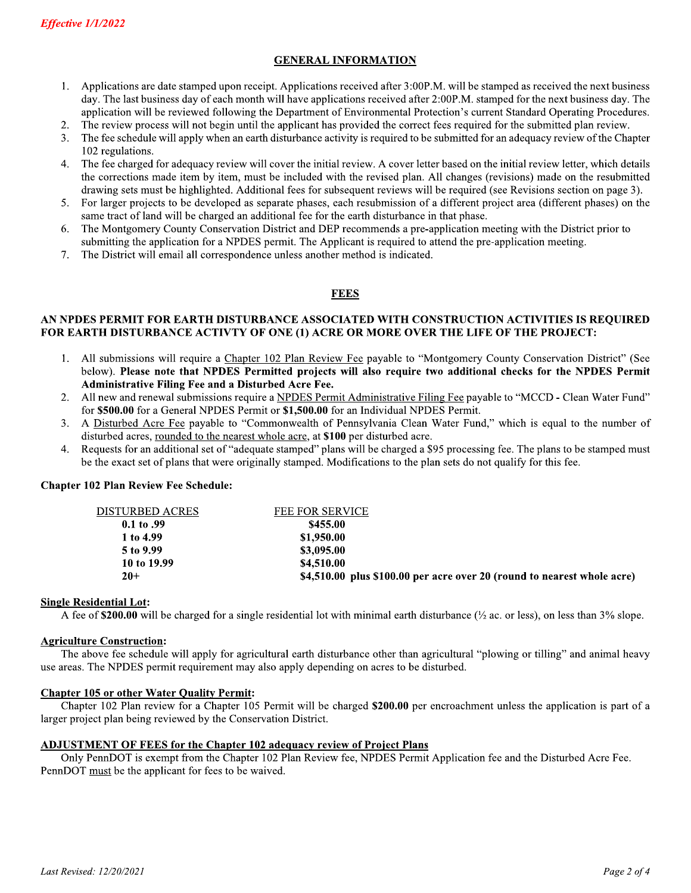## **GENERAL INFORMATION**

- Applications are date stamped upon receipt. Applications received after 3:00P.M. will be stamped as received the next business  $1.$ day. The last business day of each month will have applications received after 2:00P.M. stamped for the next business day. The application will be reviewed following the Department of Environmental Protection's current Standard Operating Procedures.
- 2. The review process will not begin until the applicant has provided the correct fees required for the submitted plan review.
- The fee schedule will apply when an earth disturbance activity is required to be submitted for an adequacy review of the Chapter  $3<sub>1</sub>$ 102 regulations.
- $\overline{4}$ . The fee charged for adequacy review will cover the initial review. A cover letter based on the initial review letter, which details the corrections made item by item, must be included with the revised plan. All changes (revisions) made on the resubmitted drawing sets must be highlighted. Additional fees for subsequent reviews will be required (see Revisions section on page 3).
- 5. For larger projects to be developed as separate phases, each resubmission of a different project area (different phases) on the same tract of land will be charged an additional fee for the earth disturbance in that phase.
- The Montgomery County Conservation District and DEP recommends a pre-application meeting with the District prior to 6. submitting the application for a NPDES permit. The Applicant is required to attend the pre-application meeting.
- The District will email all correspondence unless another method is indicated. 7.

## **FEES**

#### AN NPDES PERMIT FOR EARTH DISTURBANCE ASSOCIATED WITH CONSTRUCTION ACTIVITIES IS REOUIRED FOR EARTH DISTURBANCE ACTIVTY OF ONE (1) ACRE OR MORE OVER THE LIFE OF THE PROJECT:

- $1.$ All submissions will require a Chapter 102 Plan Review Fee payable to "Montgomery County Conservation District" (See below). Please note that NPDES Permitted projects will also require two additional checks for the NPDES Permit Administrative Filing Fee and a Disturbed Acre Fee.
- 2. All new and renewal submissions require a NPDES Permit Administrative Filing Fee payable to "MCCD - Clean Water Fund" for \$500.00 for a General NPDES Permit or \$1,500.00 for an Individual NPDES Permit.
- A Disturbed Acre Fee payable to "Commonwealth of Pennsylvania Clean Water Fund," which is equal to the number of  $3.$ disturbed acres, rounded to the nearest whole acre, at \$100 per disturbed acre.
- Requests for an additional set of "adequate stamped" plans will be charged a \$95 processing fee. The plans to be stamped must  $\overline{4}$ . be the exact set of plans that were originally stamped. Modifications to the plan sets do not qualify for this fee.

#### **Chapter 102 Plan Review Fee Schedule:**

| DISTURBED ACRES | <b>FEE FOR SERVICE</b>                                                  |
|-----------------|-------------------------------------------------------------------------|
| $0.1$ to $.99$  | \$455.00                                                                |
| 1 to 4.99       | \$1,950.00                                                              |
| 5 to 9.99       | \$3,095.00                                                              |
| 10 to 19.99     | \$4,510.00                                                              |
| $20+$           | \$4,510.00 plus \$100.00 per acre over 20 (round to nearest whole acre) |

#### **Single Residential Lot:**

A fee of \$200.00 will be charged for a single residential lot with minimal earth disturbance ( $\frac{1}{2}$  ac. or less), on less than 3% slope.

#### **Agriculture Construction:**

The above fee schedule will apply for agricultural earth disturbance other than agricultural "plowing or tilling" and animal heavy use areas. The NPDES permit requirement may also apply depending on acres to be disturbed.

### **Chapter 105 or other Water Quality Permit:**

Chapter 102 Plan review for a Chapter 105 Permit will be charged \$200.00 per encroachment unless the application is part of a larger project plan being reviewed by the Conservation District.

### **ADJUSTMENT OF FEES for the Chapter 102 adequacy review of Project Plans**

Only PennDOT is exempt from the Chapter 102 Plan Review fee, NPDES Permit Application fee and the Disturbed Acre Fee. PennDOT must be the applicant for fees to be waived.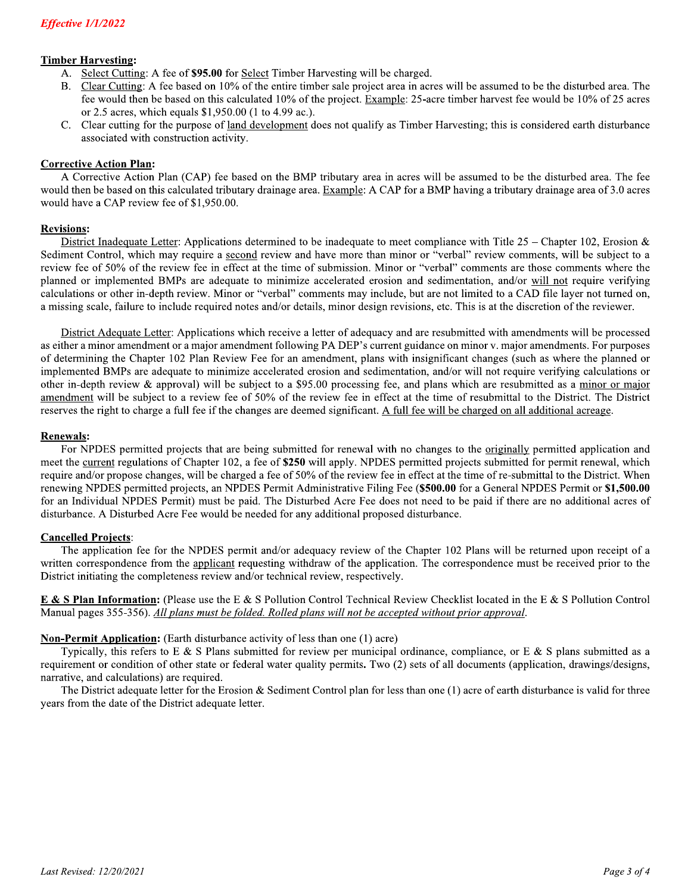### **Timber Harvesting:**

- 
- **Effective 1/1/2022**<br> **Timber Harvesting:**<br>
A. Select Cutting: A fee of **\$95.00** for <u>Select</u> Timber Harvesting will be charged.<br>
B. Clear Cutting: A fee based on 10% of the entire timber sale project area in acres will b
	-

#### Revisions:

**Timber Harvesting:** A fee of **\$95.00** for <u>Select</u> Timber Harvesting will be charged.<br>
A. <u>Select Cutting</u>: A fee of **\$95.00** for Select Timber Harvesting will be charged.<br>
B. <u>Clear Cutting</u>: A fee based on 10% of the e District Inadequate Letter: Applications determined to be inadequate to meet compliance with Title 25 – Chapter 102, Erosion & Sediment Control, which may require a second review and have more than minor or "verbal" review comments, will be subject to a review fee of 50% of the review fee in effect at the time of submission. Minor or "verbal" comments are those comments where the planned or implemented BMPs are adequate to minimize accelerated erosion and sedimentation, and/or will not require verifying calculations or other in-depth review. Minor or "verbal" comments may include, but are not limited to a CAD file layer not turned on, a missing scale, failure to include required notes and/or details, minor design revisions, etc. This is at the discretion of the reviewer.

> District Adequate Letter: Applications which receive a letter of adequacy and are resubmitted with amendments will be processed as either a minor amendment or a major amendment following PA DEP's current guidance on minor v. major amendments. For purposes of determining the Chapter 102 Plan Review Fee for an amendment, plans with insignificant changes (such as where the planned or implemented BMPs are adequate to minimize accelerated erosion and sedimentation, and/or will not require verifying calculations or other in-depth review & approval) will be subject to a \$95.00 processing fee, and plans which are resubmitted as a minor or major amendment will be subject to a review fee of 50% of the review fee in effect at the time of resubmittal to the District. The District reserves the right to charge a full fee if the changes are deemed significant. A full fee will be charged on all additional acreage.

## <u>Kenewals</u>:

For NPDES permitted projects that are being submitted for renewal with no changes to the originally permitted application and meet the current regulations of Chapter 102, a fee of \$250 will apply. NPDES permitted projects submitted for permit renewal, which require and/or propose changes, will be charged a fee of 50% of the review fee in effect at the time of re-submittal to the District. When renewing NPDES permitted projects, an NPDES Permit Administrative Filing Fee (\$500.00 for a General NPDES Permit or \$1,500.00 for an Individual NPDES Permit) must be paid. The Disturbed Acre Fee does not need to be paid if there are no additional acres of disturbance. A Disturbed Acre Fee would be needed for any additional proposed disturbance. **Enerovals:**<br>
Townline projects that are being submitted for renewal with no changes to the <u>originally</u> permitted application and<br>
read the <u>current</u> regulations of Chapter 102, a fee of \$250 will apply. NPDES permitted

### **Cancelled Projects:**

For an Individual NPDES Permit) must be paid. The Disturbed Acre Fee does not need to be paid if there are no additional arces of<br>disturbance. A Disturbed Acre Fee would be needed for any additional proposed disturbance.<br> **Cancelled Projects:**<br>
The application fee for the NPDES permit and/or adequacy review of the Chapter 102 Plans will be returned upon receipt of a<br>
The application fee form the <u>applicant</u> requesting withdraw of the appli